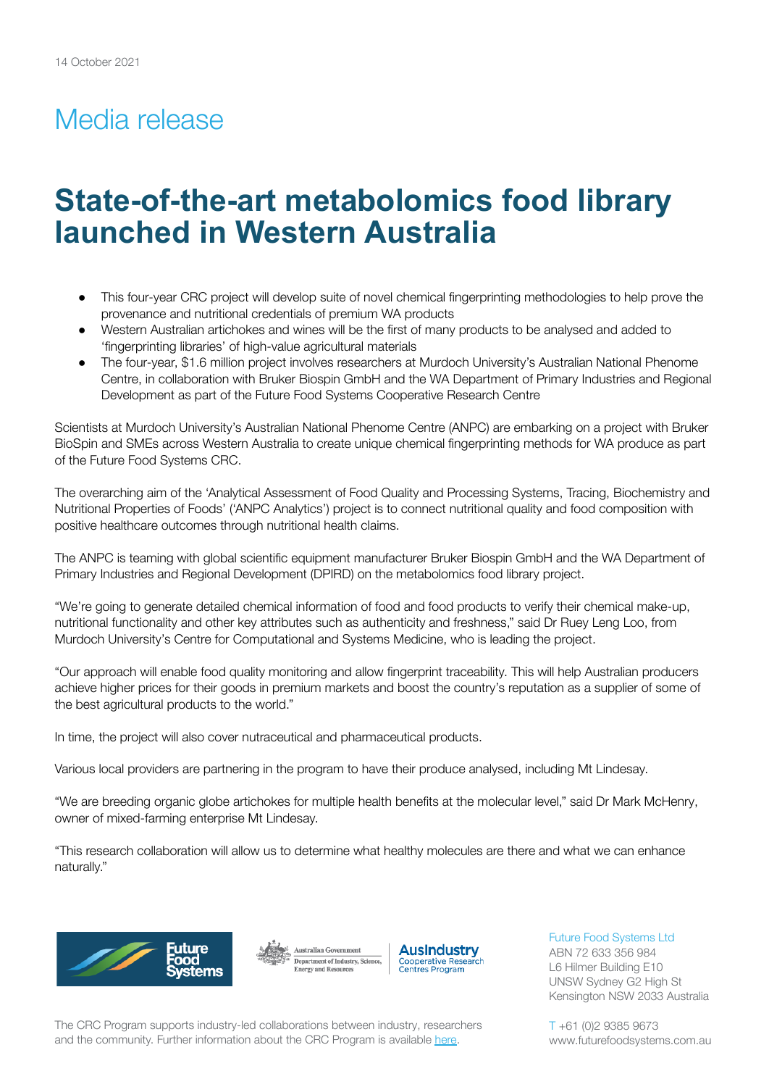## Media release

# **State-of-the-art metabolomics food library launched in Western Australia**

- This four-year CRC project will develop suite of novel chemical fingerprinting methodologies to help prove the provenance and nutritional credentials of premium WA products
- Western Australian artichokes and wines will be the first of many products to be analysed and added to 'fingerprinting libraries' of high-value agricultural materials
- The four-year, \$1.6 million project involves researchers at Murdoch University's Australian National Phenome Centre, in collaboration with Bruker Biospin GmbH and the WA Department of Primary Industries and Regional Development as part of the Future Food Systems Cooperative Research Centre

Scientists at Murdoch University's Australian National Phenome Centre (ANPC) are embarking on a project with Bruker BioSpin and SMEs across Western Australia to create unique chemical fingerprinting methods for WA produce as part of the Future Food Systems CRC.

The overarching aim of the 'Analytical Assessment of Food Quality and Processing Systems, Tracing, Biochemistry and Nutritional Properties of Foods' ('ANPC Analytics') project is to connect nutritional quality and food composition with positive healthcare outcomes through nutritional health claims.

The ANPC is teaming with global scientific equipment manufacturer Bruker Biospin GmbH and the WA Department of Primary Industries and Regional Development (DPIRD) on the metabolomics food library project.

"We're going to generate detailed chemical information of food and food products to verify their chemical make-up, nutritional functionality and other key attributes such as authenticity and freshness," said Dr Ruey Leng Loo, from Murdoch University's Centre for Computational and Systems Medicine, who is leading the project.

"Our approach will enable food quality monitoring and allow fingerprint traceability. This will help Australian producers achieve higher prices for their goods in premium markets and boost the country's reputation as a supplier of some of the best agricultural products to the world."

In time, the project will also cover nutraceutical and pharmaceutical products.

Various local providers are partnering in the program to have their produce analysed, including Mt Lindesay.

"We are breeding organic globe artichokes for multiple health benefits at the molecular level," said Dr Mark McHenry, owner of mixed-farming enterprise Mt Lindesay.

"This research collaboration will allow us to determine what healthy molecules are there and what we can enhance naturally."







Future Food Systems Ltd ABN 72 633 356 984 L6 Hilmer Building E10 UNSW Sydney G2 High St Kensington NSW 2033 Australia

The CRC Program supports industry-led collaborations between industry, researchers and the community. Further information about the CRC Program is available [here](https://www.business.gov.au/SearchResult?query=cooperativeresearchcentresprogramme&type=1).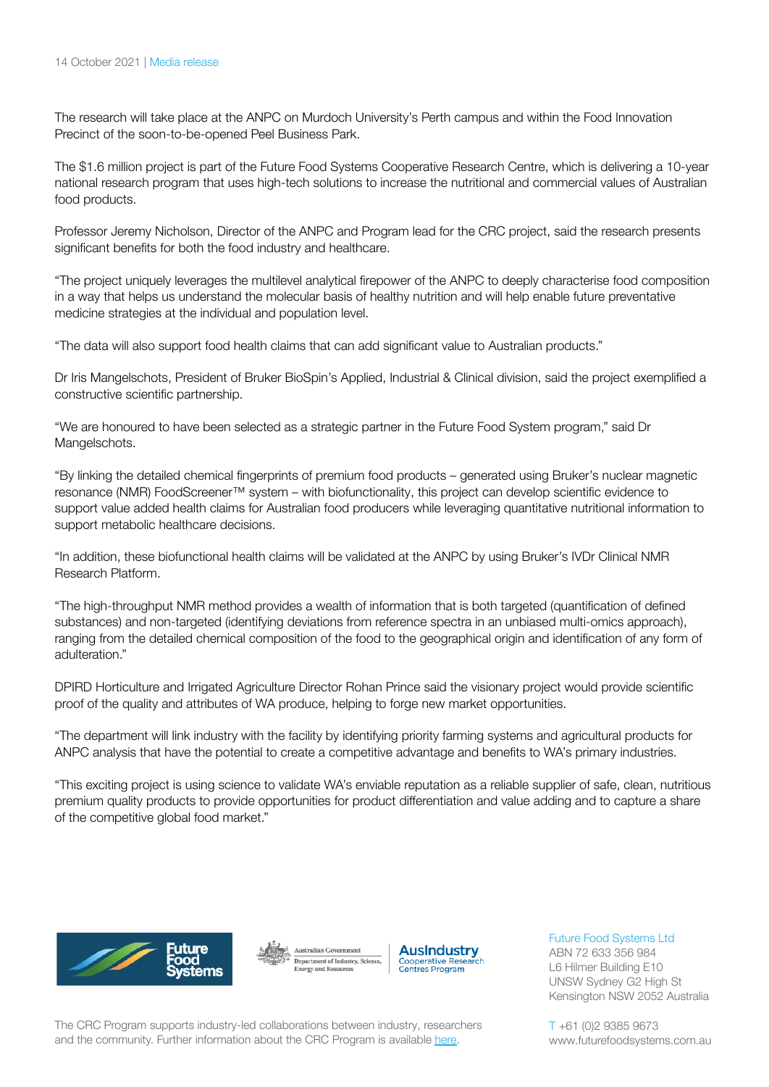The research will take place at the ANPC on Murdoch University's Perth campus and within the Food Innovation Precinct of the soon-to-be-opened Peel Business Park.

The \$1.6 million project is part of the Future Food Systems Cooperative Research Centre, which is delivering a 10-year national research program that uses high-tech solutions to increase the nutritional and commercial values of Australian food products.

Professor Jeremy Nicholson, Director of the ANPC and Program lead for the CRC project, said the research presents significant benefits for both the food industry and healthcare.

"The project uniquely leverages the multilevel analytical firepower of the ANPC to deeply characterise food composition in a way that helps us understand the molecular basis of healthy nutrition and will help enable future preventative medicine strategies at the individual and population level.

"The data will also support food health claims that can add significant value to Australian products."

Dr Iris Mangelschots, President of Bruker BioSpin's Applied, Industrial & Clinical division, said the project exemplified a constructive scientific partnership.

"We are honoured to have been selected as a strategic partner in the Future Food System program," said Dr Mangelschots.

"By linking the detailed chemical fingerprints of premium food products – generated using Bruker's nuclear magnetic resonance (NMR) FoodScreener™ system – with biofunctionality, this project can develop scientific evidence to support value added health claims for Australian food producers while leveraging quantitative nutritional information to support metabolic healthcare decisions.

"In addition, these biofunctional health claims will be validated at the ANPC by using Bruker's IVDr Clinical NMR Research Platform.

"The high-throughput NMR method provides a wealth of information that is both targeted (quantification of defined substances) and non-targeted (identifying deviations from reference spectra in an unbiased multi-omics approach), ranging from the detailed chemical composition of the food to the geographical origin and identification of any form of adulteration."

DPIRD Horticulture and Irrigated Agriculture Director Rohan Prince said the visionary project would provide scientific proof of the quality and attributes of WA produce, helping to forge new market opportunities.

"The department will link industry with the facility by identifying priority farming systems and agricultural products for ANPC analysis that have the potential to create a competitive advantage and benefits to WA's primary industries.

"This exciting project is using science to validate WA's enviable reputation as a reliable supplier of safe, clean, nutritious premium quality products to provide opportunities for product differentiation and value adding and to capture a share of the competitive global food market."







Future Food Systems Ltd

ABN 72 633 356 984 L6 Hilmer Building E10 UNSW Sydney G2 High St Kensington NSW 2052 Australia

The CRC Program supports industry-led collaborations between industry, researchers and the community. Further information about the CRC Program is available [here](https://www.business.gov.au/SearchResult?query=cooperativeresearchcentresprogramme&type=1).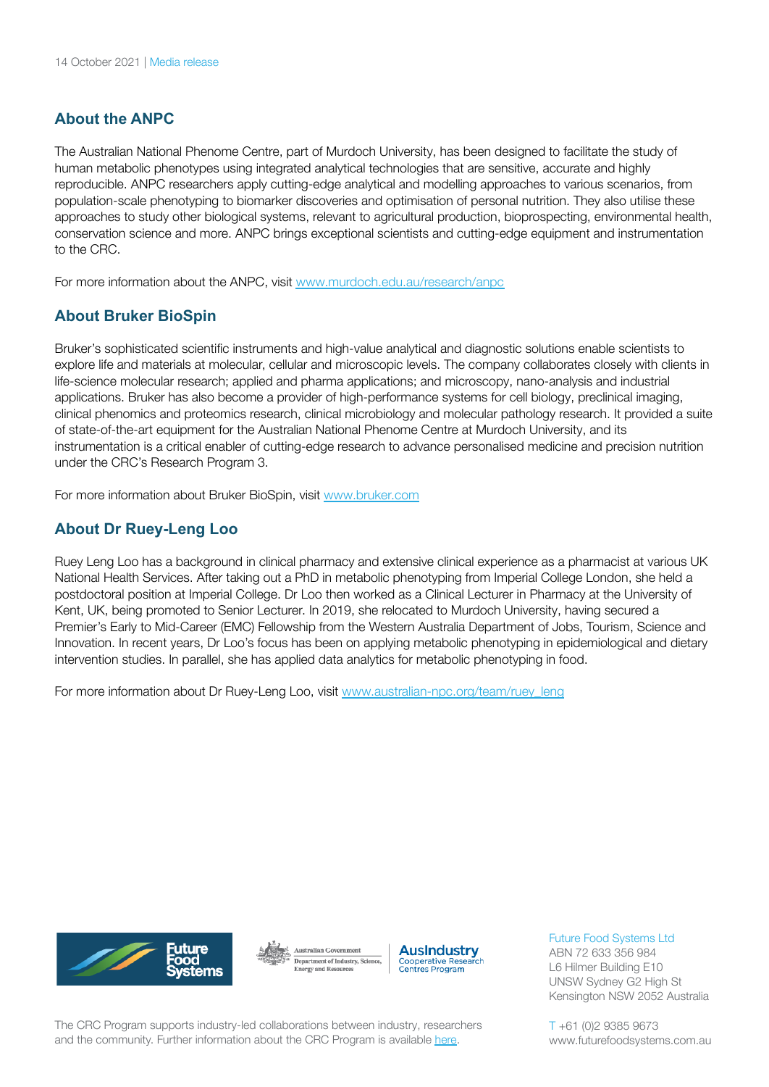### **About the ANPC**

The Australian National Phenome Centre, part of Murdoch University, has been designed to facilitate the study of human metabolic phenotypes using integrated analytical technologies that are sensitive, accurate and highly reproducible. ANPC researchers apply cutting-edge analytical and modelling approaches to various scenarios, from population-scale phenotyping to biomarker discoveries and optimisation of personal nutrition. They also utilise these approaches to study other biological systems, relevant to agricultural production, bioprospecting, environmental health, conservation science and more. ANPC brings exceptional scientists and cutting-edge equipment and instrumentation to the CRC.

For more information about the ANPC, visit [www.murdoch.edu.au/research/anpc](https://www.murdoch.edu.au/research/anpc)

#### **About Bruker BioSpin**

Bruker's sophisticated scientific instruments and high-value analytical and diagnostic solutions enable scientists to explore life and materials at molecular, cellular and microscopic levels. The company collaborates closely with clients in life-science molecular research; applied and pharma applications; and microscopy, nano-analysis and industrial applications. Bruker has also become a provider of high-performance systems for cell biology, preclinical imaging, clinical phenomics and proteomics research, clinical microbiology and molecular pathology research. It provided a suite of state-of-the-art equipment for the Australian National Phenome Centre at Murdoch University, and its instrumentation is a critical enabler of cutting-edge research to advance personalised medicine and precision nutrition under the CRC's Research Program 3.

For more information about Bruker BioSpin, visit [www.bruker.com](https://www.bruker.com/)

#### **About Dr Ruey-Leng Loo**

Ruey Leng Loo has a background in clinical pharmacy and extensive clinical experience as a pharmacist at various UK National Health Services. After taking out a PhD in metabolic phenotyping from Imperial College London, she held a postdoctoral position at Imperial College. Dr Loo then worked as a Clinical Lecturer in Pharmacy at the University of Kent, UK, being promoted to Senior Lecturer. In 2019, she relocated to Murdoch University, having secured a Premier's Early to Mid-Career (EMC) Fellowship from the Western Australia Department of Jobs, Tourism, Science and Innovation. In recent years, Dr Loo's focus has been on applying metabolic phenotyping in epidemiological and dietary intervention studies. In parallel, she has applied data analytics for metabolic phenotyping in food.

For more information about Dr Ruey-Leng Loo, visit [www.australian-npc.org/team/ruey\\_leng](https://www.australian-npc.org/team/ruey_leng/)







Future Food Systems Ltd

ABN 72 633 356 984 L6 Hilmer Building E10 UNSW Sydney G2 High St Kensington NSW 2052 Australia

The CRC Program supports industry-led collaborations between industry, researchers and the community. Further information about the CRC Program is available [here](https://www.business.gov.au/SearchResult?query=cooperativeresearchcentresprogramme&type=1).